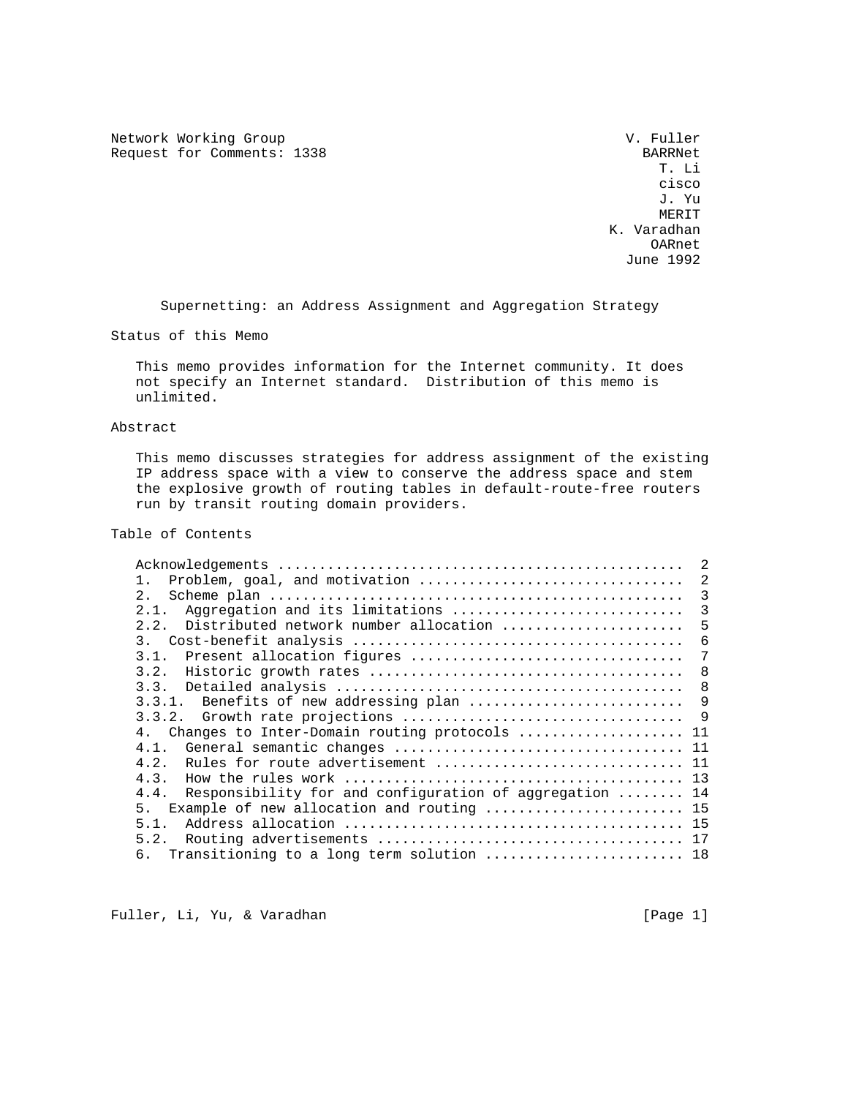Network Working Group and the Communication of the V. Fuller Request for Comments: 1338 BARRNet<br>T. Li

 T. Li cisco de la contrata de la contrata de la contrata de la contrata de la contrata de la contrata de la contrata<br>La contrata de la contrata de la contrata de la contrata de la contrata de la contrata de la contrata de la co J. Yu **MERIT**  K. Varadhan OARnet June 1992

Supernetting: an Address Assignment and Aggregation Strategy

Status of this Memo

 This memo provides information for the Internet community. It does not specify an Internet standard. Distribution of this memo is unlimited.

## Abstract

 This memo discusses strategies for address assignment of the existing IP address space with a view to conserve the address space and stem the explosive growth of routing tables in default-route-free routers run by transit routing domain providers.

# Table of Contents

|                                                                 | $\mathfrak{D}$ |
|-----------------------------------------------------------------|----------------|
| Problem, goal, and motivation<br>$\mathbf{1}$                   | -2             |
| 2.1                                                             | - 3            |
| Aggregation and its limitations<br>2.1.                         | -3             |
| 2.2.<br>Distributed network number allocation                   | 5              |
|                                                                 | 6              |
| 3.1. Present allocation figures                                 | 7              |
| 3.2.                                                            | - 8            |
|                                                                 | 8              |
| 3.3.1. Benefits of new addressing plan                          | 9              |
|                                                                 |                |
| 4. Changes to Inter-Domain routing protocols  11                |                |
| 4.1.                                                            |                |
| Rules for route advertisement  11<br>4.2.                       |                |
| 4.3.                                                            |                |
| Responsibility for and configuration of aggregation  14<br>4.4. |                |
| 5 <sub>1</sub><br>Example of new allocation and routing  15     |                |
| 5.1.                                                            |                |
| 5.2.                                                            |                |
| 6. Transitioning to a long term solution  18                    |                |

Fuller, Li, Yu, & Varadhan [Page 1]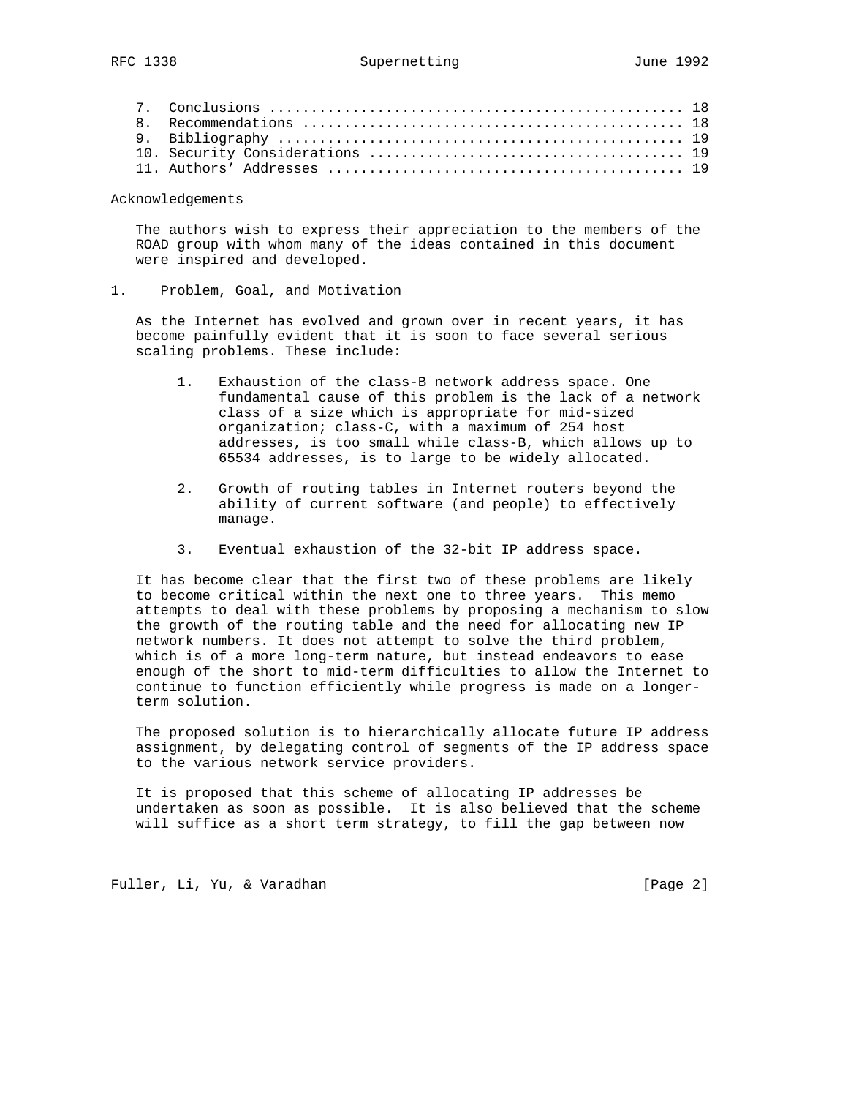Acknowledgements

 The authors wish to express their appreciation to the members of the ROAD group with whom many of the ideas contained in this document were inspired and developed.

# 1. Problem, Goal, and Motivation

 As the Internet has evolved and grown over in recent years, it has become painfully evident that it is soon to face several serious scaling problems. These include:

- 1. Exhaustion of the class-B network address space. One fundamental cause of this problem is the lack of a network class of a size which is appropriate for mid-sized organization; class-C, with a maximum of 254 host addresses, is too small while class-B, which allows up to 65534 addresses, is to large to be widely allocated.
- 2. Growth of routing tables in Internet routers beyond the ability of current software (and people) to effectively manage.
- 3. Eventual exhaustion of the 32-bit IP address space.

 It has become clear that the first two of these problems are likely to become critical within the next one to three years. This memo attempts to deal with these problems by proposing a mechanism to slow the growth of the routing table and the need for allocating new IP network numbers. It does not attempt to solve the third problem, which is of a more long-term nature, but instead endeavors to ease enough of the short to mid-term difficulties to allow the Internet to continue to function efficiently while progress is made on a longer term solution.

 The proposed solution is to hierarchically allocate future IP address assignment, by delegating control of segments of the IP address space to the various network service providers.

 It is proposed that this scheme of allocating IP addresses be undertaken as soon as possible. It is also believed that the scheme will suffice as a short term strategy, to fill the gap between now

Fuller, Li, Yu, & Varadhan [Page 2]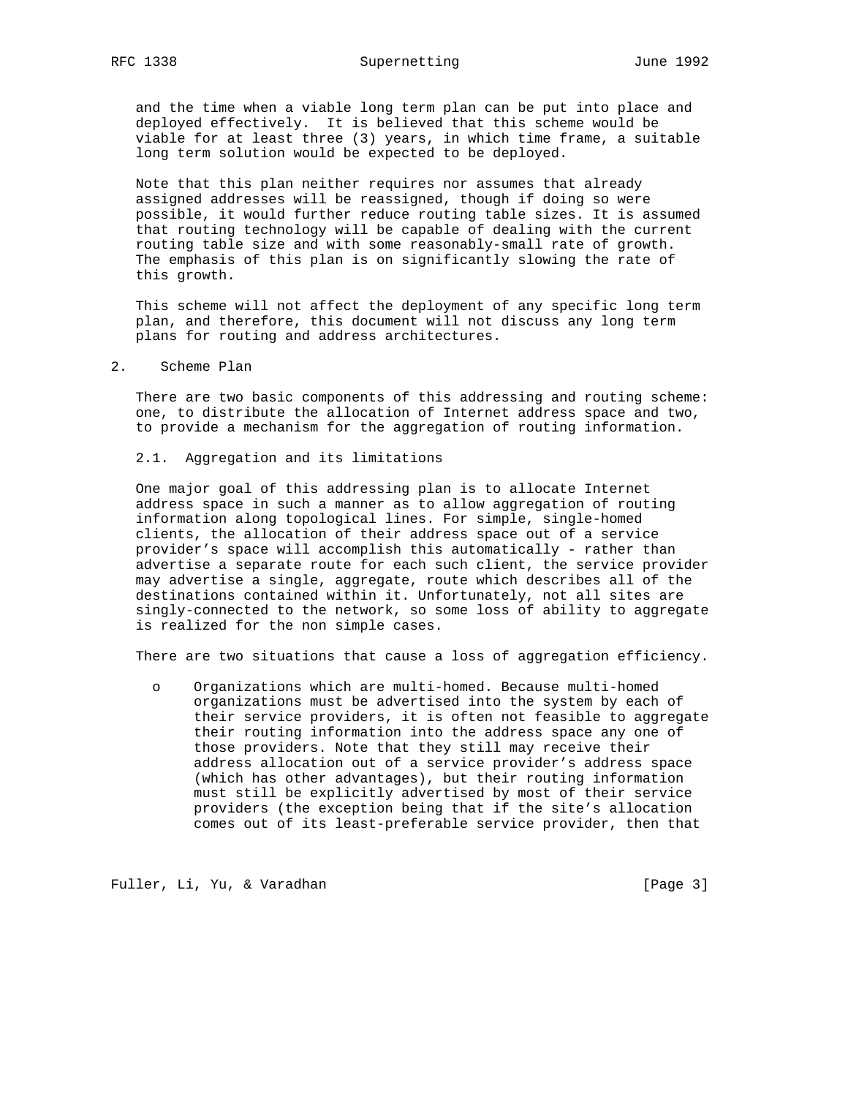and the time when a viable long term plan can be put into place and deployed effectively. It is believed that this scheme would be viable for at least three (3) years, in which time frame, a suitable long term solution would be expected to be deployed.

 Note that this plan neither requires nor assumes that already assigned addresses will be reassigned, though if doing so were possible, it would further reduce routing table sizes. It is assumed that routing technology will be capable of dealing with the current routing table size and with some reasonably-small rate of growth. The emphasis of this plan is on significantly slowing the rate of this growth.

 This scheme will not affect the deployment of any specific long term plan, and therefore, this document will not discuss any long term plans for routing and address architectures.

#### 2. Scheme Plan

 There are two basic components of this addressing and routing scheme: one, to distribute the allocation of Internet address space and two, to provide a mechanism for the aggregation of routing information.

## 2.1. Aggregation and its limitations

 One major goal of this addressing plan is to allocate Internet address space in such a manner as to allow aggregation of routing information along topological lines. For simple, single-homed clients, the allocation of their address space out of a service provider's space will accomplish this automatically - rather than advertise a separate route for each such client, the service provider may advertise a single, aggregate, route which describes all of the destinations contained within it. Unfortunately, not all sites are singly-connected to the network, so some loss of ability to aggregate is realized for the non simple cases.

There are two situations that cause a loss of aggregation efficiency.

 o Organizations which are multi-homed. Because multi-homed organizations must be advertised into the system by each of their service providers, it is often not feasible to aggregate their routing information into the address space any one of those providers. Note that they still may receive their address allocation out of a service provider's address space (which has other advantages), but their routing information must still be explicitly advertised by most of their service providers (the exception being that if the site's allocation comes out of its least-preferable service provider, then that

Fuller, Li, Yu, & Varadhan [Page 3]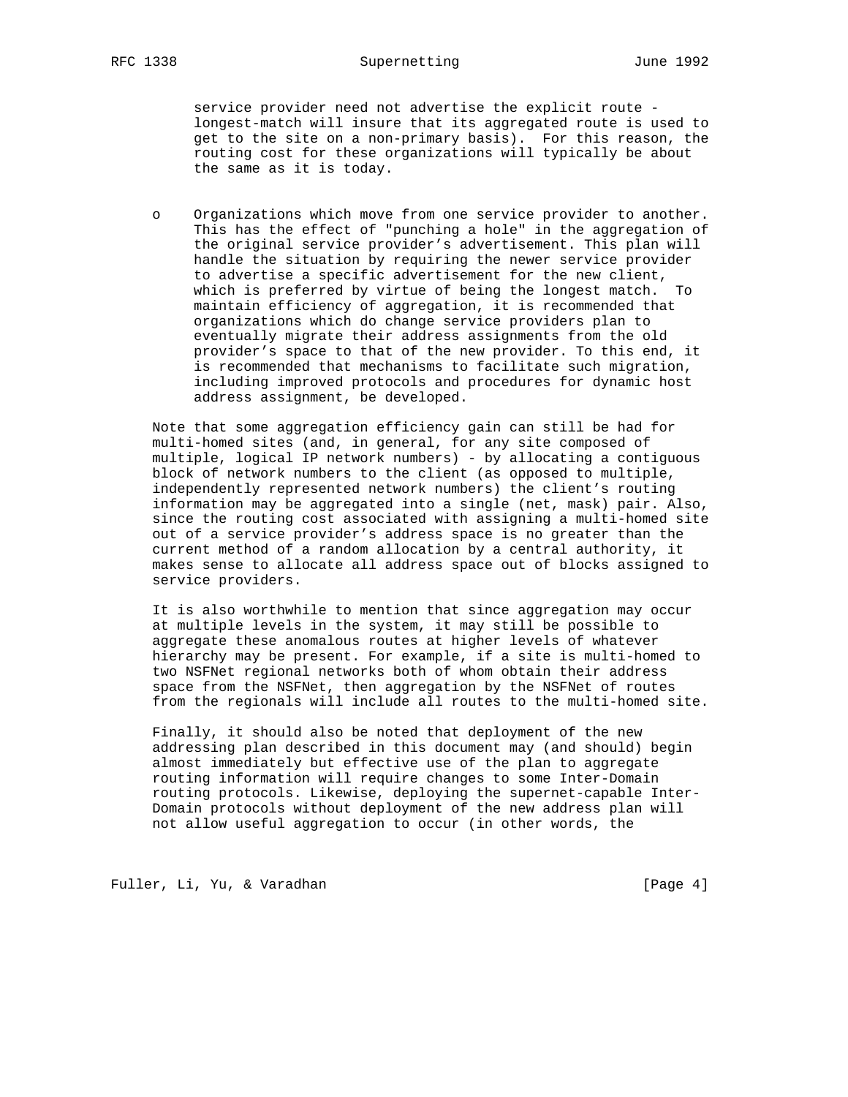service provider need not advertise the explicit route longest-match will insure that its aggregated route is used to get to the site on a non-primary basis). For this reason, the routing cost for these organizations will typically be about the same as it is today.

 o Organizations which move from one service provider to another. This has the effect of "punching a hole" in the aggregation of the original service provider's advertisement. This plan will handle the situation by requiring the newer service provider to advertise a specific advertisement for the new client, which is preferred by virtue of being the longest match. To maintain efficiency of aggregation, it is recommended that organizations which do change service providers plan to eventually migrate their address assignments from the old provider's space to that of the new provider. To this end, it is recommended that mechanisms to facilitate such migration, including improved protocols and procedures for dynamic host address assignment, be developed.

 Note that some aggregation efficiency gain can still be had for multi-homed sites (and, in general, for any site composed of multiple, logical IP network numbers) - by allocating a contiguous block of network numbers to the client (as opposed to multiple, independently represented network numbers) the client's routing information may be aggregated into a single (net, mask) pair. Also, since the routing cost associated with assigning a multi-homed site out of a service provider's address space is no greater than the current method of a random allocation by a central authority, it makes sense to allocate all address space out of blocks assigned to service providers.

 It is also worthwhile to mention that since aggregation may occur at multiple levels in the system, it may still be possible to aggregate these anomalous routes at higher levels of whatever hierarchy may be present. For example, if a site is multi-homed to two NSFNet regional networks both of whom obtain their address space from the NSFNet, then aggregation by the NSFNet of routes from the regionals will include all routes to the multi-homed site.

 Finally, it should also be noted that deployment of the new addressing plan described in this document may (and should) begin almost immediately but effective use of the plan to aggregate routing information will require changes to some Inter-Domain routing protocols. Likewise, deploying the supernet-capable Inter- Domain protocols without deployment of the new address plan will not allow useful aggregation to occur (in other words, the

Fuller, Li, Yu, & Varadhan [Page 4]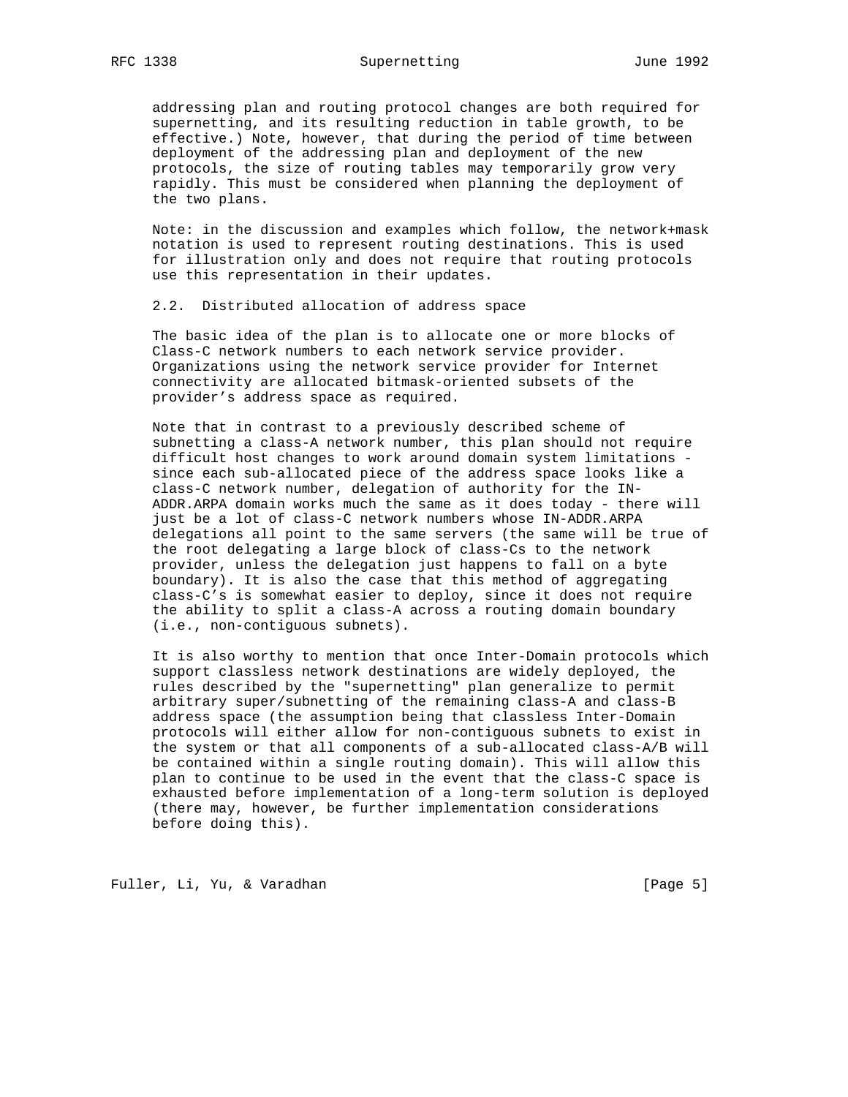addressing plan and routing protocol changes are both required for supernetting, and its resulting reduction in table growth, to be effective.) Note, however, that during the period of time between deployment of the addressing plan and deployment of the new protocols, the size of routing tables may temporarily grow very rapidly. This must be considered when planning the deployment of the two plans.

 Note: in the discussion and examples which follow, the network+mask notation is used to represent routing destinations. This is used for illustration only and does not require that routing protocols use this representation in their updates.

2.2. Distributed allocation of address space

 The basic idea of the plan is to allocate one or more blocks of Class-C network numbers to each network service provider. Organizations using the network service provider for Internet connectivity are allocated bitmask-oriented subsets of the provider's address space as required.

 Note that in contrast to a previously described scheme of subnetting a class-A network number, this plan should not require difficult host changes to work around domain system limitations since each sub-allocated piece of the address space looks like a class-C network number, delegation of authority for the IN- ADDR.ARPA domain works much the same as it does today - there will just be a lot of class-C network numbers whose IN-ADDR.ARPA delegations all point to the same servers (the same will be true of the root delegating a large block of class-Cs to the network provider, unless the delegation just happens to fall on a byte boundary). It is also the case that this method of aggregating class-C's is somewhat easier to deploy, since it does not require the ability to split a class-A across a routing domain boundary (i.e., non-contiguous subnets).

 It is also worthy to mention that once Inter-Domain protocols which support classless network destinations are widely deployed, the rules described by the "supernetting" plan generalize to permit arbitrary super/subnetting of the remaining class-A and class-B address space (the assumption being that classless Inter-Domain protocols will either allow for non-contiguous subnets to exist in the system or that all components of a sub-allocated class-A/B will be contained within a single routing domain). This will allow this plan to continue to be used in the event that the class-C space is exhausted before implementation of a long-term solution is deployed (there may, however, be further implementation considerations before doing this).

Fuller, Li, Yu, & Varadhan [Page 5]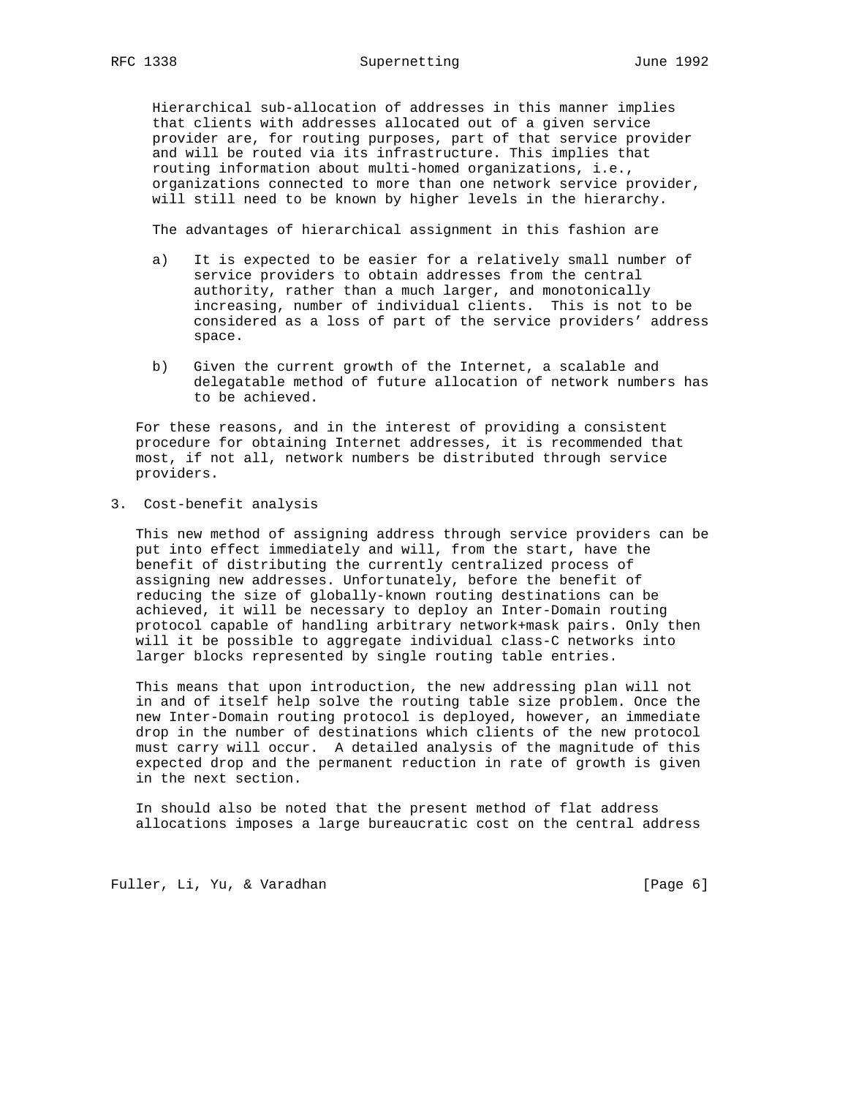Hierarchical sub-allocation of addresses in this manner implies that clients with addresses allocated out of a given service provider are, for routing purposes, part of that service provider and will be routed via its infrastructure. This implies that routing information about multi-homed organizations, i.e., organizations connected to more than one network service provider, will still need to be known by higher levels in the hierarchy.

The advantages of hierarchical assignment in this fashion are

- a) It is expected to be easier for a relatively small number of service providers to obtain addresses from the central authority, rather than a much larger, and monotonically increasing, number of individual clients. This is not to be considered as a loss of part of the service providers' address space.
- b) Given the current growth of the Internet, a scalable and delegatable method of future allocation of network numbers has to be achieved.

 For these reasons, and in the interest of providing a consistent procedure for obtaining Internet addresses, it is recommended that most, if not all, network numbers be distributed through service providers.

3. Cost-benefit analysis

 This new method of assigning address through service providers can be put into effect immediately and will, from the start, have the benefit of distributing the currently centralized process of assigning new addresses. Unfortunately, before the benefit of reducing the size of globally-known routing destinations can be achieved, it will be necessary to deploy an Inter-Domain routing protocol capable of handling arbitrary network+mask pairs. Only then will it be possible to aggregate individual class-C networks into larger blocks represented by single routing table entries.

 This means that upon introduction, the new addressing plan will not in and of itself help solve the routing table size problem. Once the new Inter-Domain routing protocol is deployed, however, an immediate drop in the number of destinations which clients of the new protocol must carry will occur. A detailed analysis of the magnitude of this expected drop and the permanent reduction in rate of growth is given in the next section.

 In should also be noted that the present method of flat address allocations imposes a large bureaucratic cost on the central address

Fuller, Li, Yu, & Varadhan [Page 6]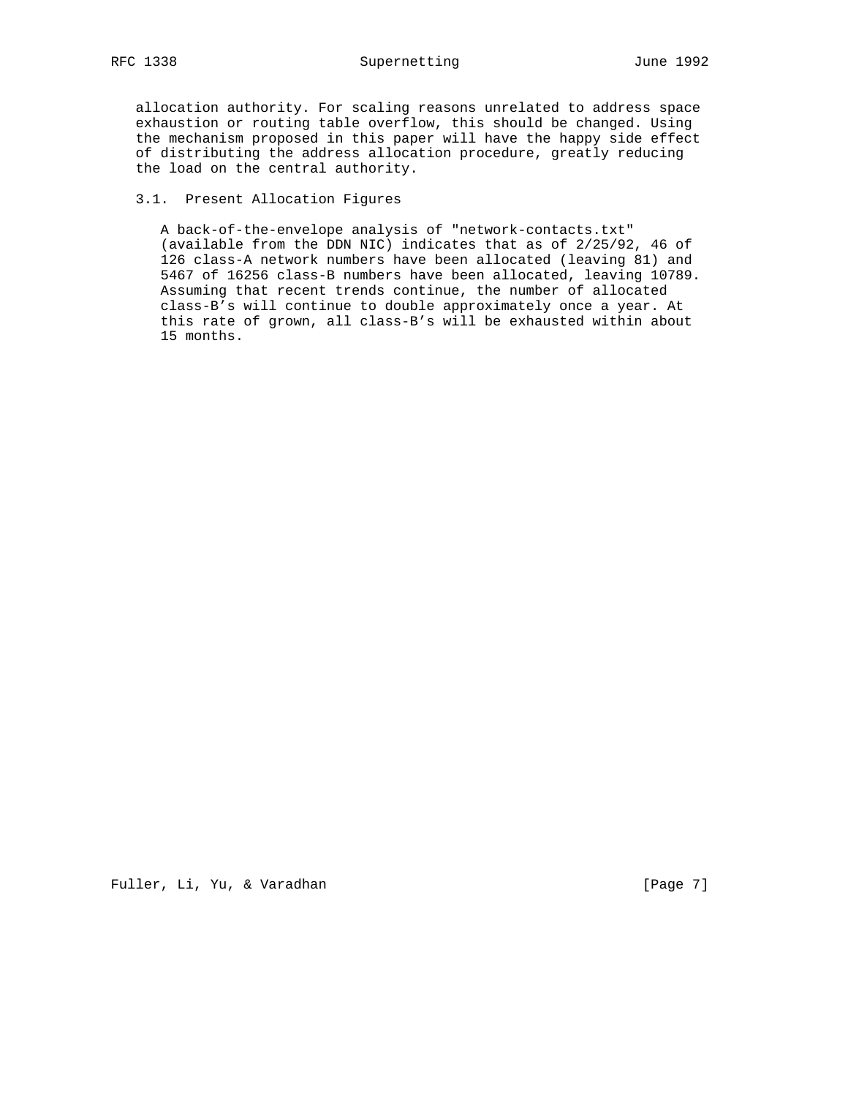allocation authority. For scaling reasons unrelated to address space exhaustion or routing table overflow, this should be changed. Using the mechanism proposed in this paper will have the happy side effect of distributing the address allocation procedure, greatly reducing the load on the central authority.

# 3.1. Present Allocation Figures

 A back-of-the-envelope analysis of "network-contacts.txt" (available from the DDN NIC) indicates that as of 2/25/92, 46 of 126 class-A network numbers have been allocated (leaving 81) and 5467 of 16256 class-B numbers have been allocated, leaving 10789. Assuming that recent trends continue, the number of allocated class-B's will continue to double approximately once a year. At this rate of grown, all class-B's will be exhausted within about 15 months.

Fuller, Li, Yu, & Varadhan [Page 7]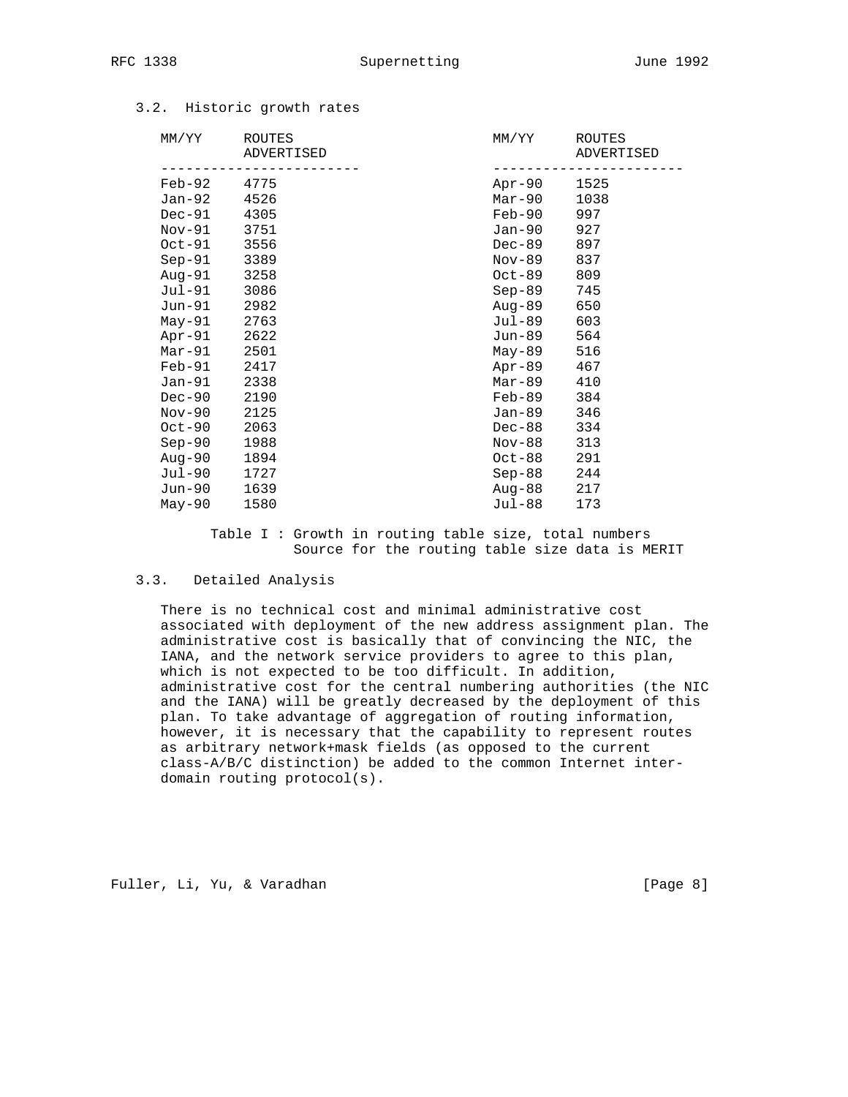| MM/YY    | ROUTES<br>ADVERTISED | MM/YY  | ROUTES<br>ADVERTISED |
|----------|----------------------|--------|----------------------|
| Feb-92   | 4775                 | Apr-90 | 1525                 |
| Jan-92   | 4526                 | Mar-90 | 1038                 |
| Dec-91   | 4305                 | Feb-90 | 997                  |
| Nov-91   | 3751                 | Jan-90 | 927                  |
| $Oct-91$ | 3556                 | Dec-89 | 897                  |
| $Sep-91$ | 3389                 | Nov-89 | 837                  |
| Aug-91   | 3258                 | Oct-89 | 809                  |
| Jul-91   | 3086                 | Sep-89 | 745                  |
| Jun-91   | 2982                 | Aug-89 | 650                  |
| May-91   | 2763                 | Jul-89 | 603                  |
| Apr-91   | 2622                 | Jun-89 | 564                  |
| $Mar-91$ | 2501                 | May-89 | 516                  |
| $Feb-91$ | 2417                 | Apr-89 | 467                  |
| $Jan-91$ | 2338                 | Mar-89 | 410                  |
| $Dec-90$ | 2190                 | Feb-89 | 384                  |
| $Nov-90$ | 2125                 | Jan-89 | 346                  |
| $Oct-90$ | 2063                 | Dec-88 | 334                  |
| $Sep-90$ | 1988                 | Nov-88 | 313                  |
| Aug-90   | 1894                 | Oct-88 | 291                  |
| Jul-90   | 1727                 | Sep-88 | 244                  |
| Jun-90   | 1639                 | Aug-88 | 217                  |
| $May-90$ | 1580                 | Jul-88 | 173                  |
|          |                      |        |                      |

# 3.2. Historic growth rates

 Table I : Growth in routing table size, total numbers Source for the routing table size data is MERIT

# 3.3. Detailed Analysis

 There is no technical cost and minimal administrative cost associated with deployment of the new address assignment plan. The administrative cost is basically that of convincing the NIC, the IANA, and the network service providers to agree to this plan, which is not expected to be too difficult. In addition, administrative cost for the central numbering authorities (the NIC and the IANA) will be greatly decreased by the deployment of this plan. To take advantage of aggregation of routing information, however, it is necessary that the capability to represent routes as arbitrary network+mask fields (as opposed to the current class-A/B/C distinction) be added to the common Internet inter domain routing protocol(s).

Fuller, Li, Yu, & Varadhan [Page 8]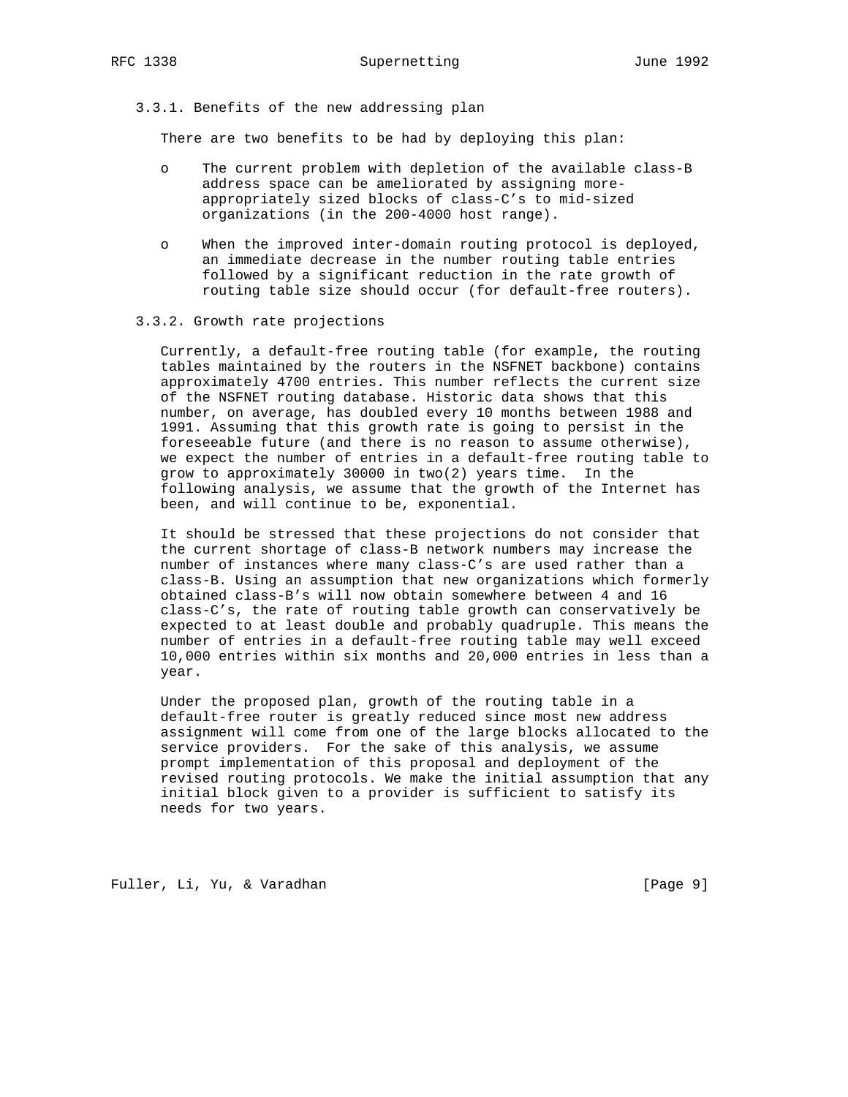3.3.1. Benefits of the new addressing plan

There are two benefits to be had by deploying this plan:

- o The current problem with depletion of the available class-B address space can be ameliorated by assigning more appropriately sized blocks of class-C's to mid-sized organizations (in the 200-4000 host range).
- o When the improved inter-domain routing protocol is deployed, an immediate decrease in the number routing table entries followed by a significant reduction in the rate growth of routing table size should occur (for default-free routers).

#### 3.3.2. Growth rate projections

 Currently, a default-free routing table (for example, the routing tables maintained by the routers in the NSFNET backbone) contains approximately 4700 entries. This number reflects the current size of the NSFNET routing database. Historic data shows that this number, on average, has doubled every 10 months between 1988 and 1991. Assuming that this growth rate is going to persist in the foreseeable future (and there is no reason to assume otherwise), we expect the number of entries in a default-free routing table to grow to approximately 30000 in two(2) years time. In the following analysis, we assume that the growth of the Internet has been, and will continue to be, exponential.

 It should be stressed that these projections do not consider that the current shortage of class-B network numbers may increase the number of instances where many class-C's are used rather than a class-B. Using an assumption that new organizations which formerly obtained class-B's will now obtain somewhere between 4 and 16 class-C's, the rate of routing table growth can conservatively be expected to at least double and probably quadruple. This means the number of entries in a default-free routing table may well exceed 10,000 entries within six months and 20,000 entries in less than a year.

 Under the proposed plan, growth of the routing table in a default-free router is greatly reduced since most new address assignment will come from one of the large blocks allocated to the service providers. For the sake of this analysis, we assume prompt implementation of this proposal and deployment of the revised routing protocols. We make the initial assumption that any initial block given to a provider is sufficient to satisfy its needs for two years.

Fuller, Li, Yu, & Varadhan [Page 9]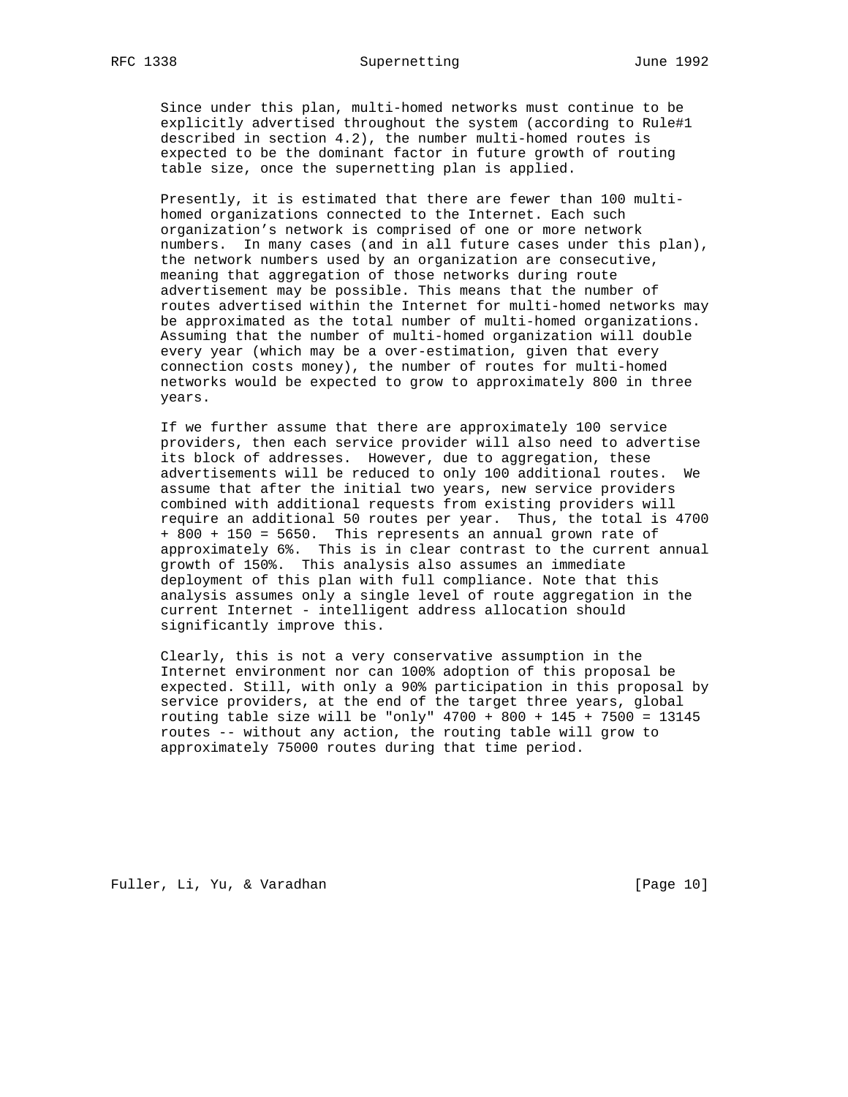Since under this plan, multi-homed networks must continue to be explicitly advertised throughout the system (according to Rule#1 described in section 4.2), the number multi-homed routes is expected to be the dominant factor in future growth of routing table size, once the supernetting plan is applied.

 Presently, it is estimated that there are fewer than 100 multi homed organizations connected to the Internet. Each such organization's network is comprised of one or more network numbers. In many cases (and in all future cases under this plan), the network numbers used by an organization are consecutive, meaning that aggregation of those networks during route advertisement may be possible. This means that the number of routes advertised within the Internet for multi-homed networks may be approximated as the total number of multi-homed organizations. Assuming that the number of multi-homed organization will double every year (which may be a over-estimation, given that every connection costs money), the number of routes for multi-homed networks would be expected to grow to approximately 800 in three years.

 If we further assume that there are approximately 100 service providers, then each service provider will also need to advertise its block of addresses. However, due to aggregation, these advertisements will be reduced to only 100 additional routes. We assume that after the initial two years, new service providers combined with additional requests from existing providers will require an additional 50 routes per year. Thus, the total is 4700 + 800 + 150 = 5650. This represents an annual grown rate of approximately 6%. This is in clear contrast to the current annual growth of 150%. This analysis also assumes an immediate deployment of this plan with full compliance. Note that this analysis assumes only a single level of route aggregation in the current Internet - intelligent address allocation should significantly improve this.

 Clearly, this is not a very conservative assumption in the Internet environment nor can 100% adoption of this proposal be expected. Still, with only a 90% participation in this proposal by service providers, at the end of the target three years, global routing table size will be "only"  $4700 + 800 + 145 + 7500 = 13145$  routes -- without any action, the routing table will grow to approximately 75000 routes during that time period.

Fuller, Li, Yu, & Varadhan [Page 10]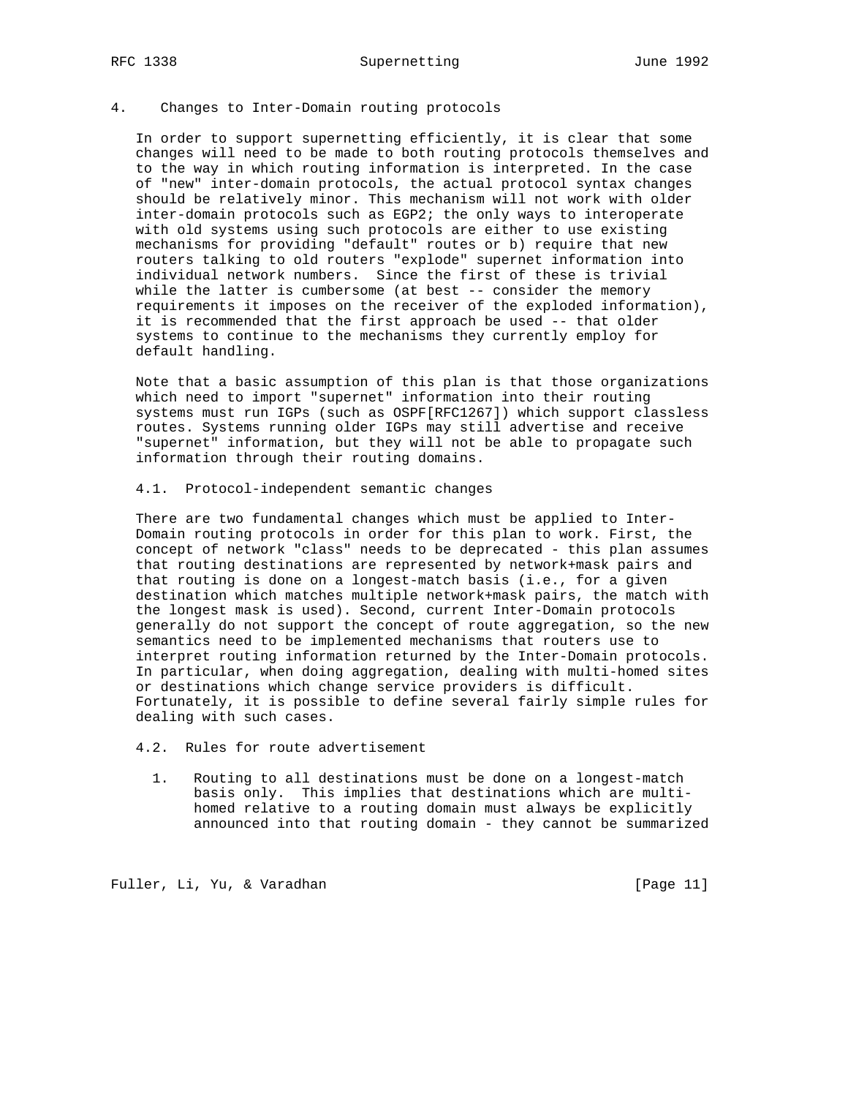RFC 1338 Supernetting June 1992

# 4. Changes to Inter-Domain routing protocols

 In order to support supernetting efficiently, it is clear that some changes will need to be made to both routing protocols themselves and to the way in which routing information is interpreted. In the case of "new" inter-domain protocols, the actual protocol syntax changes should be relatively minor. This mechanism will not work with older inter-domain protocols such as EGP2; the only ways to interoperate with old systems using such protocols are either to use existing mechanisms for providing "default" routes or b) require that new routers talking to old routers "explode" supernet information into individual network numbers. Since the first of these is trivial while the latter is cumbersome (at best -- consider the memory requirements it imposes on the receiver of the exploded information), it is recommended that the first approach be used -- that older systems to continue to the mechanisms they currently employ for default handling.

 Note that a basic assumption of this plan is that those organizations which need to import "supernet" information into their routing systems must run IGPs (such as OSPF[RFC1267]) which support classless routes. Systems running older IGPs may still advertise and receive "supernet" information, but they will not be able to propagate such information through their routing domains.

4.1. Protocol-independent semantic changes

 There are two fundamental changes which must be applied to Inter- Domain routing protocols in order for this plan to work. First, the concept of network "class" needs to be deprecated - this plan assumes that routing destinations are represented by network+mask pairs and that routing is done on a longest-match basis (i.e., for a given destination which matches multiple network+mask pairs, the match with the longest mask is used). Second, current Inter-Domain protocols generally do not support the concept of route aggregation, so the new semantics need to be implemented mechanisms that routers use to interpret routing information returned by the Inter-Domain protocols. In particular, when doing aggregation, dealing with multi-homed sites or destinations which change service providers is difficult. Fortunately, it is possible to define several fairly simple rules for dealing with such cases.

- 4.2. Rules for route advertisement
	- 1. Routing to all destinations must be done on a longest-match basis only. This implies that destinations which are multi homed relative to a routing domain must always be explicitly announced into that routing domain - they cannot be summarized

Fuller, Li, Yu, & Varadhan [Page 11]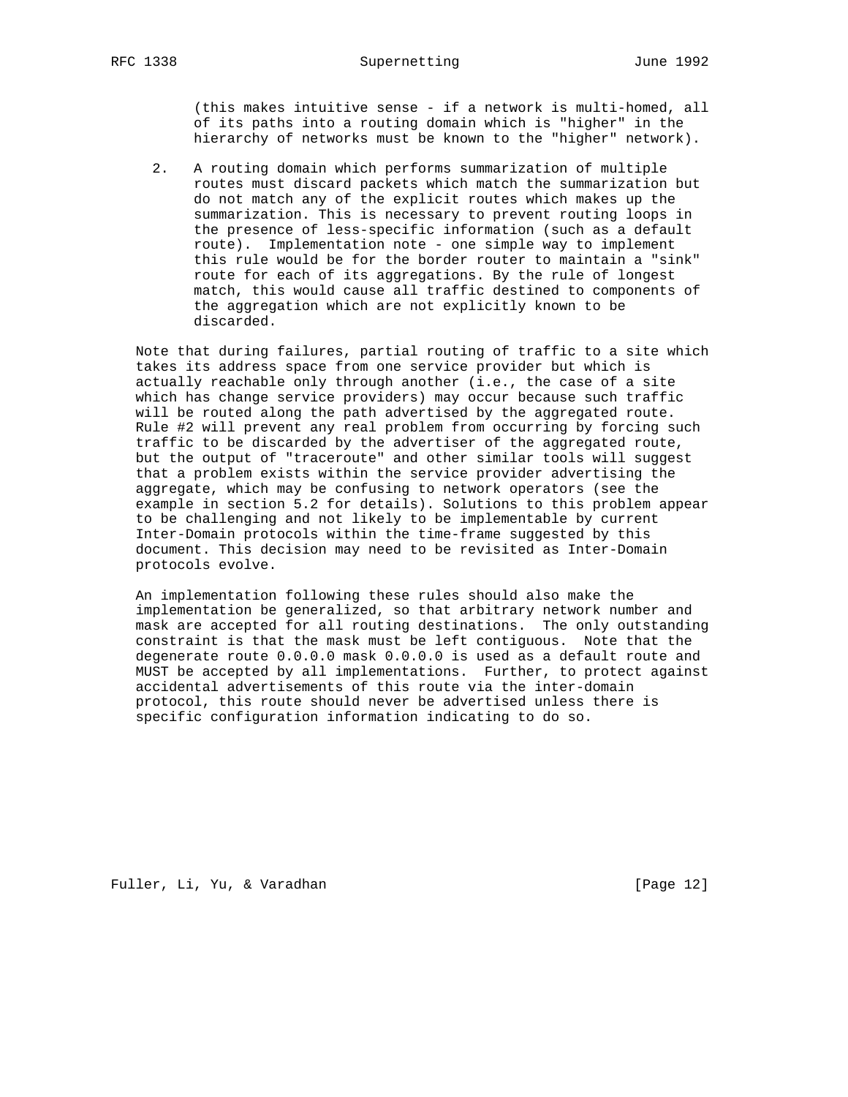(this makes intuitive sense - if a network is multi-homed, all of its paths into a routing domain which is "higher" in the hierarchy of networks must be known to the "higher" network).

 2. A routing domain which performs summarization of multiple routes must discard packets which match the summarization but do not match any of the explicit routes which makes up the summarization. This is necessary to prevent routing loops in the presence of less-specific information (such as a default route). Implementation note - one simple way to implement this rule would be for the border router to maintain a "sink" route for each of its aggregations. By the rule of longest match, this would cause all traffic destined to components of the aggregation which are not explicitly known to be discarded.

 Note that during failures, partial routing of traffic to a site which takes its address space from one service provider but which is actually reachable only through another (i.e., the case of a site which has change service providers) may occur because such traffic will be routed along the path advertised by the aggregated route. Rule #2 will prevent any real problem from occurring by forcing such traffic to be discarded by the advertiser of the aggregated route, but the output of "traceroute" and other similar tools will suggest that a problem exists within the service provider advertising the aggregate, which may be confusing to network operators (see the example in section 5.2 for details). Solutions to this problem appear to be challenging and not likely to be implementable by current Inter-Domain protocols within the time-frame suggested by this document. This decision may need to be revisited as Inter-Domain protocols evolve.

 An implementation following these rules should also make the implementation be generalized, so that arbitrary network number and mask are accepted for all routing destinations. The only outstanding constraint is that the mask must be left contiguous. Note that the degenerate route 0.0.0.0 mask 0.0.0.0 is used as a default route and MUST be accepted by all implementations. Further, to protect against accidental advertisements of this route via the inter-domain protocol, this route should never be advertised unless there is specific configuration information indicating to do so.

Fuller, Li, Yu, & Varadhan [Page 12]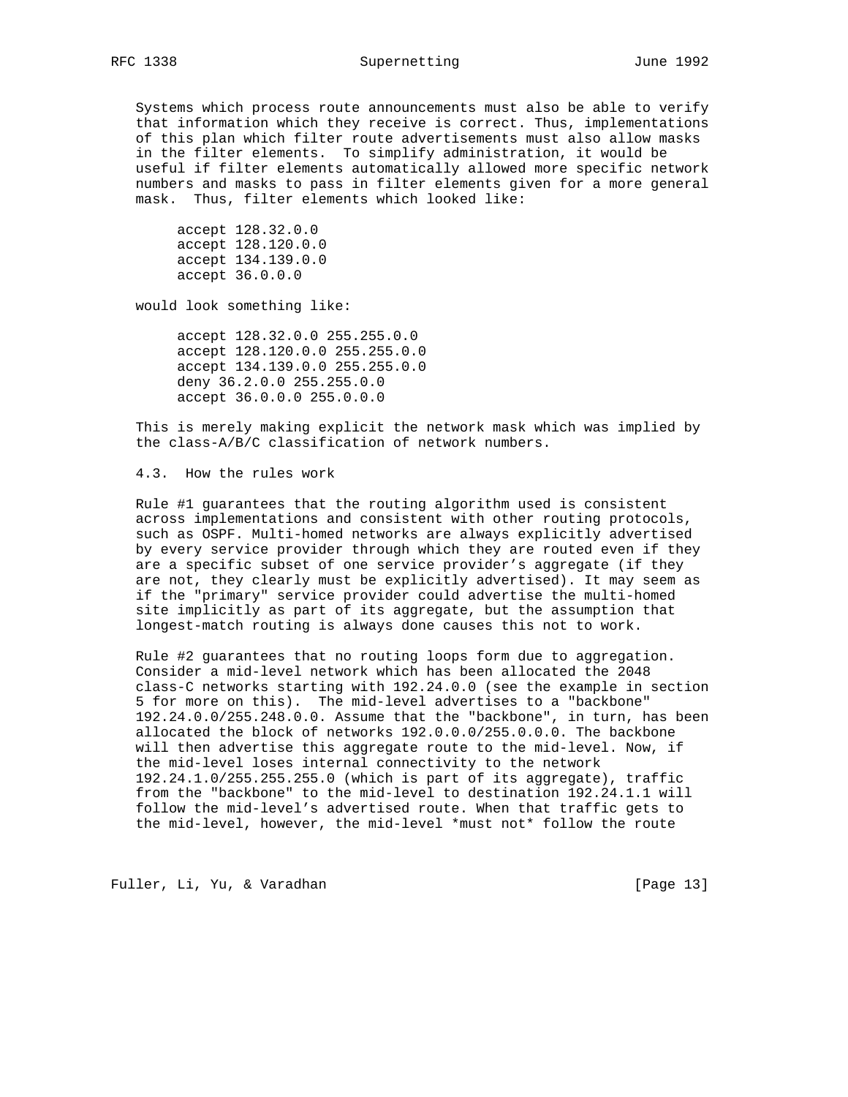Systems which process route announcements must also be able to verify that information which they receive is correct. Thus, implementations of this plan which filter route advertisements must also allow masks in the filter elements. To simplify administration, it would be useful if filter elements automatically allowed more specific network numbers and masks to pass in filter elements given for a more general mask. Thus, filter elements which looked like:

 accept 128.32.0.0 accept 128.120.0.0 accept 134.139.0.0 accept 36.0.0.0

would look something like:

 accept 128.32.0.0 255.255.0.0 accept 128.120.0.0 255.255.0.0 accept 134.139.0.0 255.255.0.0 deny 36.2.0.0 255.255.0.0 accept 36.0.0.0 255.0.0.0

 This is merely making explicit the network mask which was implied by the class-A/B/C classification of network numbers.

4.3. How the rules work

 Rule #1 guarantees that the routing algorithm used is consistent across implementations and consistent with other routing protocols, such as OSPF. Multi-homed networks are always explicitly advertised by every service provider through which they are routed even if they are a specific subset of one service provider's aggregate (if they are not, they clearly must be explicitly advertised). It may seem as if the "primary" service provider could advertise the multi-homed site implicitly as part of its aggregate, but the assumption that longest-match routing is always done causes this not to work.

 Rule #2 guarantees that no routing loops form due to aggregation. Consider a mid-level network which has been allocated the 2048 class-C networks starting with 192.24.0.0 (see the example in section 5 for more on this). The mid-level advertises to a "backbone" 192.24.0.0/255.248.0.0. Assume that the "backbone", in turn, has been allocated the block of networks 192.0.0.0/255.0.0.0. The backbone will then advertise this aggregate route to the mid-level. Now, if the mid-level loses internal connectivity to the network 192.24.1.0/255.255.255.0 (which is part of its aggregate), traffic from the "backbone" to the mid-level to destination 192.24.1.1 will follow the mid-level's advertised route. When that traffic gets to the mid-level, however, the mid-level \*must not\* follow the route

Fuller, Li, Yu, & Varadhan [Page 13]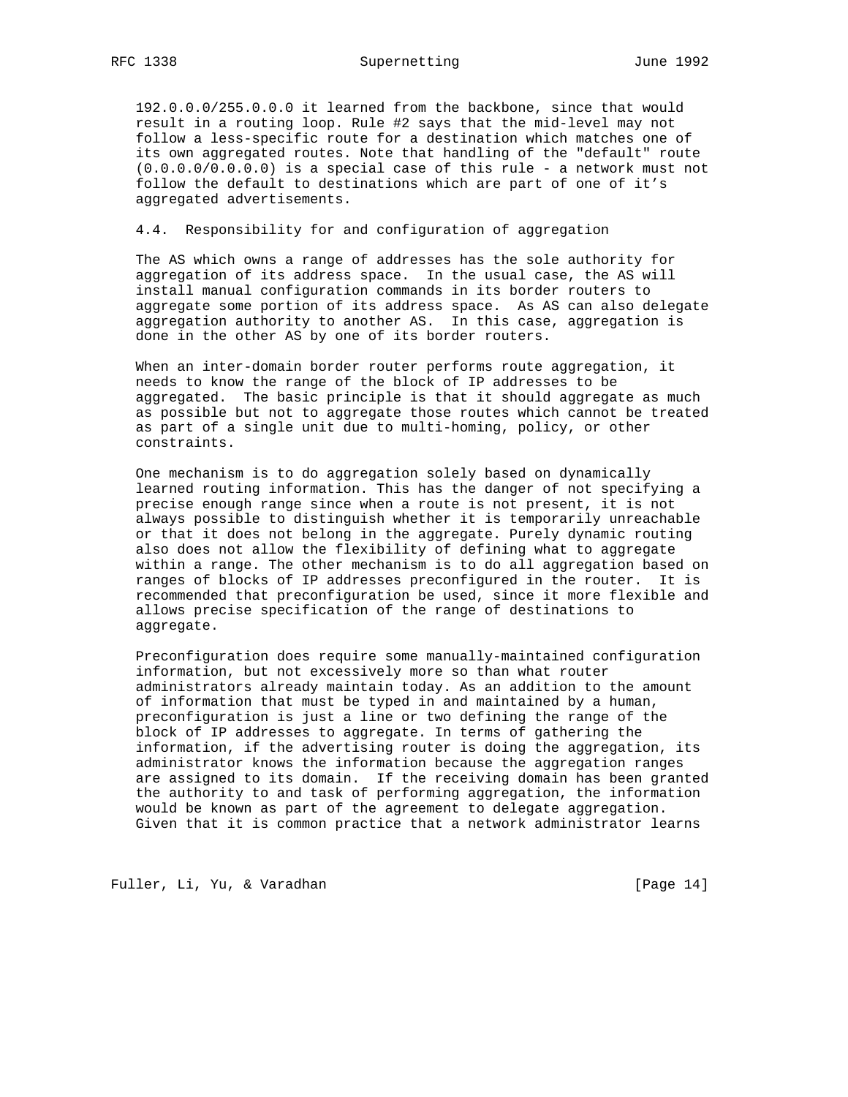192.0.0.0/255.0.0.0 it learned from the backbone, since that would result in a routing loop. Rule #2 says that the mid-level may not follow a less-specific route for a destination which matches one of its own aggregated routes. Note that handling of the "default" route (0.0.0.0/0.0.0.0) is a special case of this rule - a network must not follow the default to destinations which are part of one of it's aggregated advertisements.

#### 4.4. Responsibility for and configuration of aggregation

 The AS which owns a range of addresses has the sole authority for aggregation of its address space. In the usual case, the AS will install manual configuration commands in its border routers to aggregate some portion of its address space. As AS can also delegate aggregation authority to another AS. In this case, aggregation is done in the other AS by one of its border routers.

 When an inter-domain border router performs route aggregation, it needs to know the range of the block of IP addresses to be aggregated. The basic principle is that it should aggregate as much as possible but not to aggregate those routes which cannot be treated as part of a single unit due to multi-homing, policy, or other constraints.

 One mechanism is to do aggregation solely based on dynamically learned routing information. This has the danger of not specifying a precise enough range since when a route is not present, it is not always possible to distinguish whether it is temporarily unreachable or that it does not belong in the aggregate. Purely dynamic routing also does not allow the flexibility of defining what to aggregate within a range. The other mechanism is to do all aggregation based on ranges of blocks of IP addresses preconfigured in the router. It is recommended that preconfiguration be used, since it more flexible and allows precise specification of the range of destinations to aggregate.

 Preconfiguration does require some manually-maintained configuration information, but not excessively more so than what router administrators already maintain today. As an addition to the amount of information that must be typed in and maintained by a human, preconfiguration is just a line or two defining the range of the block of IP addresses to aggregate. In terms of gathering the information, if the advertising router is doing the aggregation, its administrator knows the information because the aggregation ranges are assigned to its domain. If the receiving domain has been granted the authority to and task of performing aggregation, the information would be known as part of the agreement to delegate aggregation. Given that it is common practice that a network administrator learns

Fuller, Li, Yu, & Varadhan [Page 14]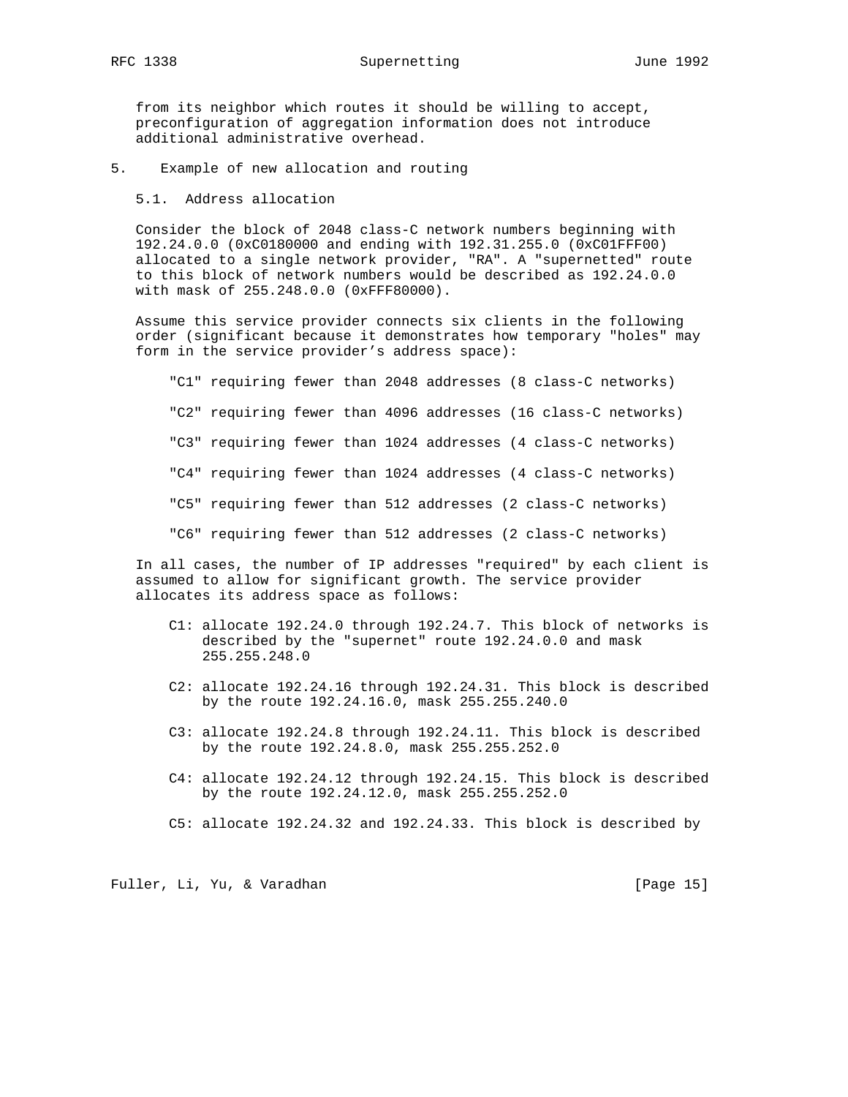from its neighbor which routes it should be willing to accept, preconfiguration of aggregation information does not introduce additional administrative overhead.

5. Example of new allocation and routing

5.1. Address allocation

 Consider the block of 2048 class-C network numbers beginning with 192.24.0.0 (0xC0180000 and ending with 192.31.255.0 (0xC01FFF00) allocated to a single network provider, "RA". A "supernetted" route to this block of network numbers would be described as 192.24.0.0 with mask of 255.248.0.0 (0xFFF80000).

 Assume this service provider connects six clients in the following order (significant because it demonstrates how temporary "holes" may form in the service provider's address space):

 "C1" requiring fewer than 2048 addresses (8 class-C networks) "C2" requiring fewer than 4096 addresses (16 class-C networks) "C3" requiring fewer than 1024 addresses (4 class-C networks) "C4" requiring fewer than 1024 addresses (4 class-C networks) "C5" requiring fewer than 512 addresses (2 class-C networks) "C6" requiring fewer than 512 addresses (2 class-C networks)

 In all cases, the number of IP addresses "required" by each client is assumed to allow for significant growth. The service provider allocates its address space as follows:

- C1: allocate 192.24.0 through 192.24.7. This block of networks is described by the "supernet" route 192.24.0.0 and mask 255.255.248.0
- C2: allocate 192.24.16 through 192.24.31. This block is described by the route 192.24.16.0, mask 255.255.240.0
- C3: allocate 192.24.8 through 192.24.11. This block is described by the route 192.24.8.0, mask 255.255.252.0
- C4: allocate 192.24.12 through 192.24.15. This block is described by the route 192.24.12.0, mask 255.255.252.0
- C5: allocate 192.24.32 and 192.24.33. This block is described by

Fuller, Li, Yu, & Varadhan [Page 15]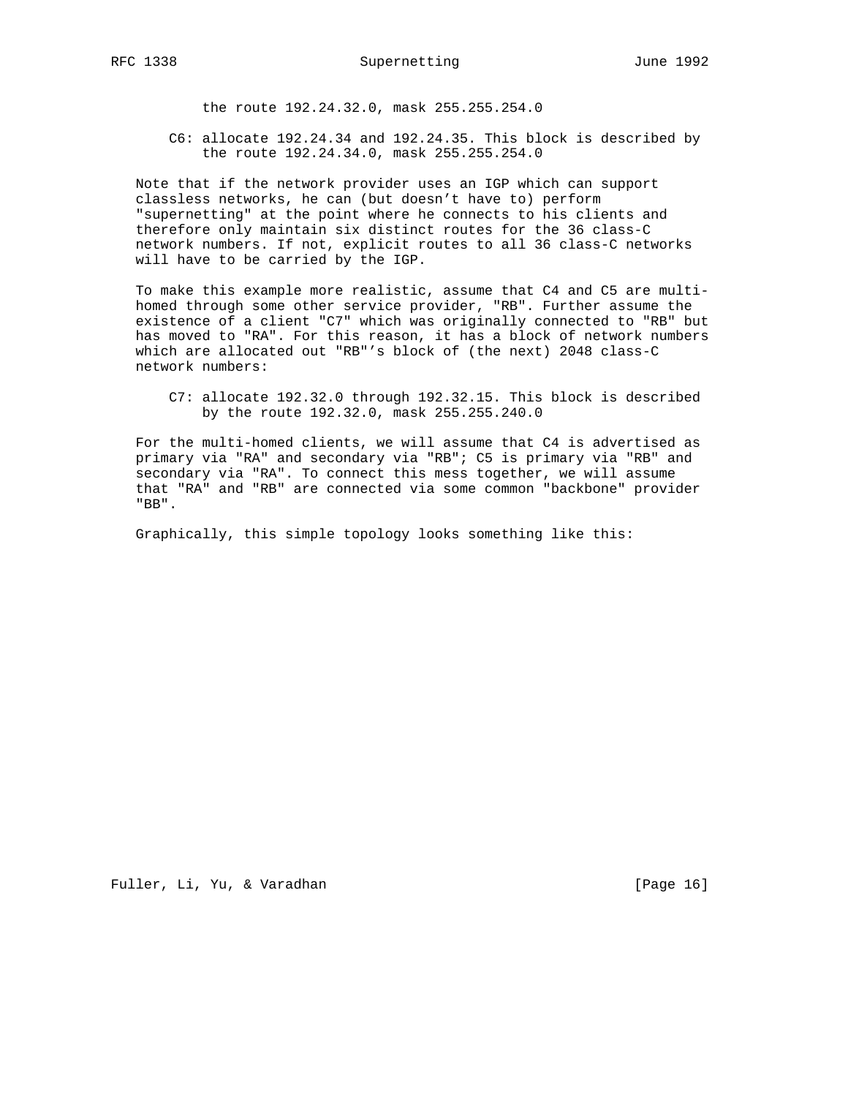the route 192.24.32.0, mask 255.255.254.0

 C6: allocate 192.24.34 and 192.24.35. This block is described by the route 192.24.34.0, mask 255.255.254.0

 Note that if the network provider uses an IGP which can support classless networks, he can (but doesn't have to) perform "supernetting" at the point where he connects to his clients and therefore only maintain six distinct routes for the 36 class-C network numbers. If not, explicit routes to all 36 class-C networks will have to be carried by the IGP.

 To make this example more realistic, assume that C4 and C5 are multi homed through some other service provider, "RB". Further assume the existence of a client "C7" which was originally connected to "RB" but has moved to "RA". For this reason, it has a block of network numbers which are allocated out "RB"'s block of (the next) 2048 class-C network numbers:

 C7: allocate 192.32.0 through 192.32.15. This block is described by the route 192.32.0, mask 255.255.240.0

 For the multi-homed clients, we will assume that C4 is advertised as primary via "RA" and secondary via "RB"; C5 is primary via "RB" and secondary via "RA". To connect this mess together, we will assume that "RA" and "RB" are connected via some common "backbone" provider "BB".

Graphically, this simple topology looks something like this: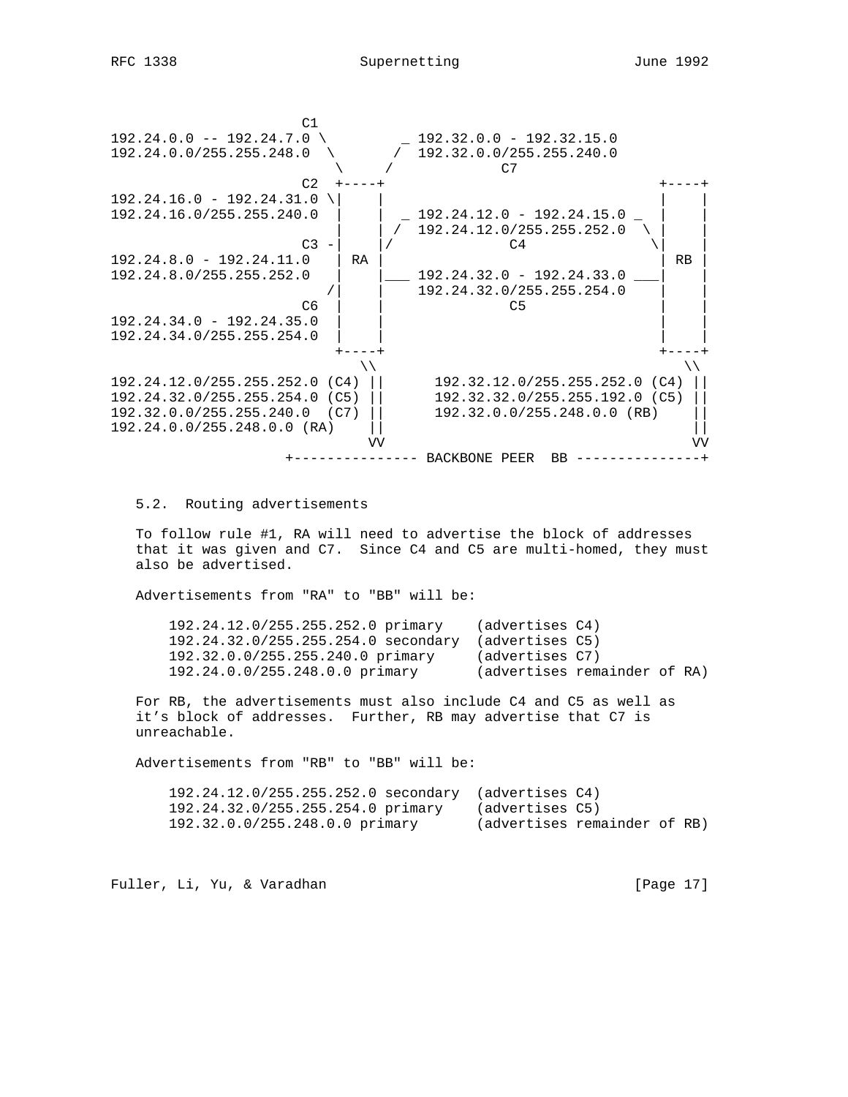



5.2. Routing advertisements

 To follow rule #1, RA will need to advertise the block of addresses that it was given and C7. Since C4 and C5 are multi-homed, they must also be advertised.

Advertisements from "RA" to "BB" will be:

| 192.24.12.0/255.255.252.0 primary   | (advertises C4)              |  |  |
|-------------------------------------|------------------------------|--|--|
| 192.24.32.0/255.255.254.0 secondary | (advertises C5)              |  |  |
| 192.32.0.0/255.255.240.0 primary    | (advertises C7)              |  |  |
| 192.24.0.0/255.248.0.0 primary      | (advertises remainder of RA) |  |  |
|                                     |                              |  |  |

 For RB, the advertisements must also include C4 and C5 as well as it's block of addresses. Further, RB may advertise that C7 is unreachable.

Advertisements from "RB" to "BB" will be:

| $192.24.12.0/255.255.252.0$ secondary (advertises C4) |                              |  |  |
|-------------------------------------------------------|------------------------------|--|--|
| 192.24.32.0/255.255.254.0 primary                     | (advertises C5)              |  |  |
| 192.32.0.0/255.248.0.0 primary                        | (advertises remainder of RB) |  |  |

Fuller, Li, Yu, & Varadhan [Page 17]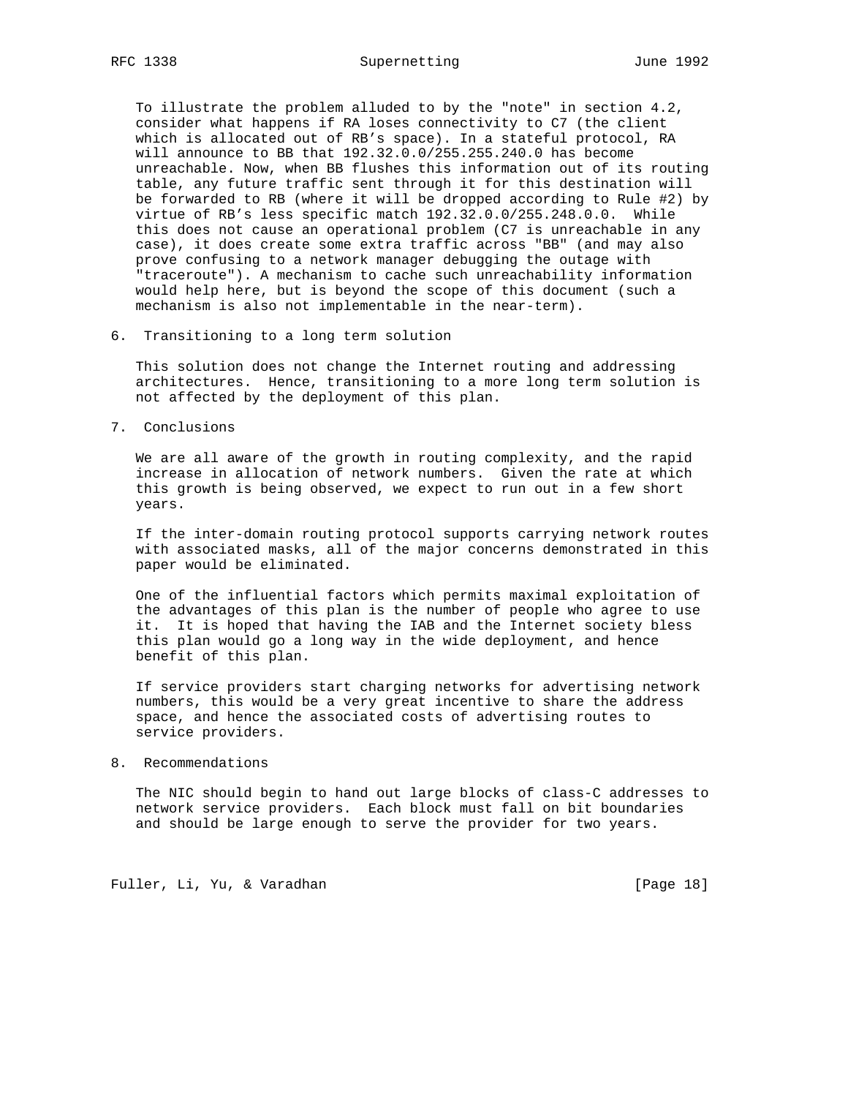To illustrate the problem alluded to by the "note" in section 4.2, consider what happens if RA loses connectivity to C7 (the client which is allocated out of RB's space). In a stateful protocol, RA will announce to BB that 192.32.0.0/255.255.240.0 has become unreachable. Now, when BB flushes this information out of its routing table, any future traffic sent through it for this destination will be forwarded to RB (where it will be dropped according to Rule #2) by virtue of RB's less specific match 192.32.0.0/255.248.0.0. While this does not cause an operational problem (C7 is unreachable in any case), it does create some extra traffic across "BB" (and may also prove confusing to a network manager debugging the outage with "traceroute"). A mechanism to cache such unreachability information would help here, but is beyond the scope of this document (such a mechanism is also not implementable in the near-term).

6. Transitioning to a long term solution

 This solution does not change the Internet routing and addressing architectures. Hence, transitioning to a more long term solution is not affected by the deployment of this plan.

7. Conclusions

 We are all aware of the growth in routing complexity, and the rapid increase in allocation of network numbers. Given the rate at which this growth is being observed, we expect to run out in a few short years.

 If the inter-domain routing protocol supports carrying network routes with associated masks, all of the major concerns demonstrated in this paper would be eliminated.

 One of the influential factors which permits maximal exploitation of the advantages of this plan is the number of people who agree to use it. It is hoped that having the IAB and the Internet society bless this plan would go a long way in the wide deployment, and hence benefit of this plan.

 If service providers start charging networks for advertising network numbers, this would be a very great incentive to share the address space, and hence the associated costs of advertising routes to service providers.

8. Recommendations

 The NIC should begin to hand out large blocks of class-C addresses to network service providers. Each block must fall on bit boundaries and should be large enough to serve the provider for two years.

Fuller, Li, Yu, & Varadhan [Page 18]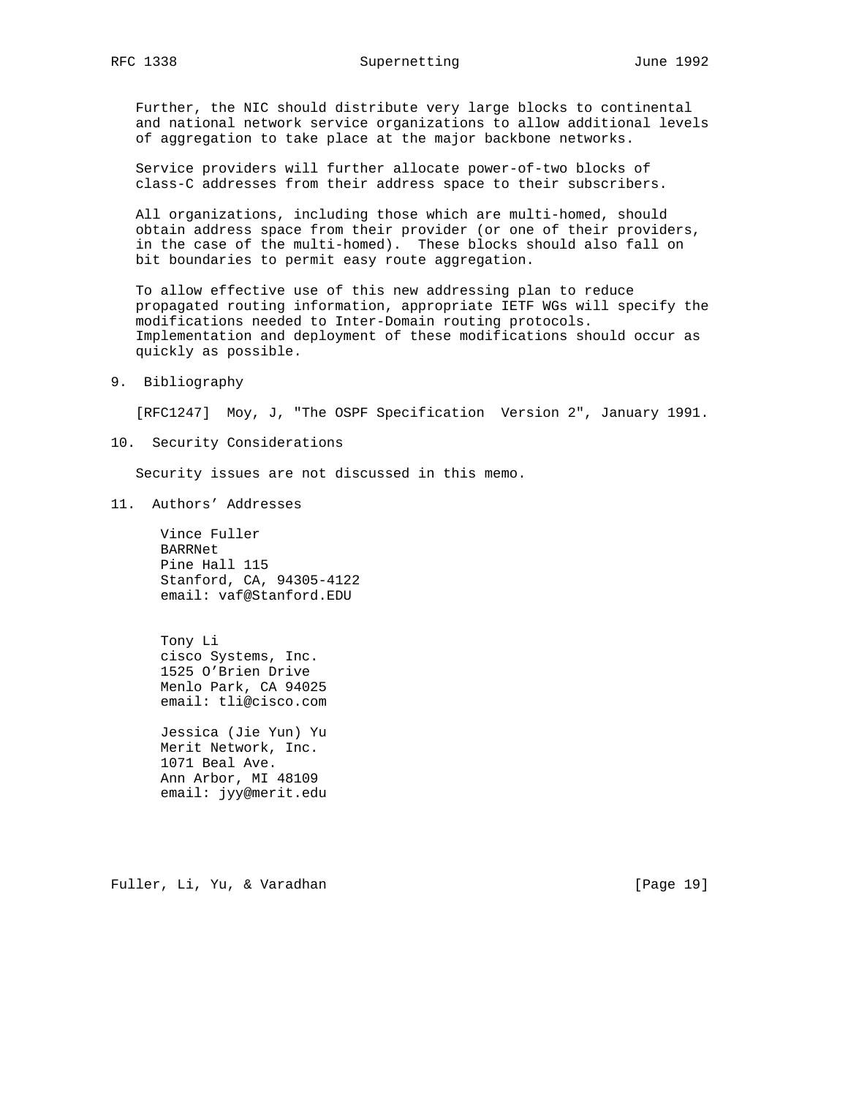Further, the NIC should distribute very large blocks to continental and national network service organizations to allow additional levels of aggregation to take place at the major backbone networks.

 Service providers will further allocate power-of-two blocks of class-C addresses from their address space to their subscribers.

 All organizations, including those which are multi-homed, should obtain address space from their provider (or one of their providers, in the case of the multi-homed). These blocks should also fall on bit boundaries to permit easy route aggregation.

 To allow effective use of this new addressing plan to reduce propagated routing information, appropriate IETF WGs will specify the modifications needed to Inter-Domain routing protocols. Implementation and deployment of these modifications should occur as quickly as possible.

## 9. Bibliography

[RFC1247] Moy, J, "The OSPF Specification Version 2", January 1991.

10. Security Considerations

Security issues are not discussed in this memo.

11. Authors' Addresses

 Vince Fuller BARRNet Pine Hall 115 Stanford, CA, 94305-4122 email: vaf@Stanford.EDU

 Tony Li cisco Systems, Inc. 1525 O'Brien Drive Menlo Park, CA 94025 email: tli@cisco.com

 Jessica (Jie Yun) Yu Merit Network, Inc. 1071 Beal Ave. Ann Arbor, MI 48109 email: jyy@merit.edu

Fuller, Li, Yu, & Varadhan [Page 19]